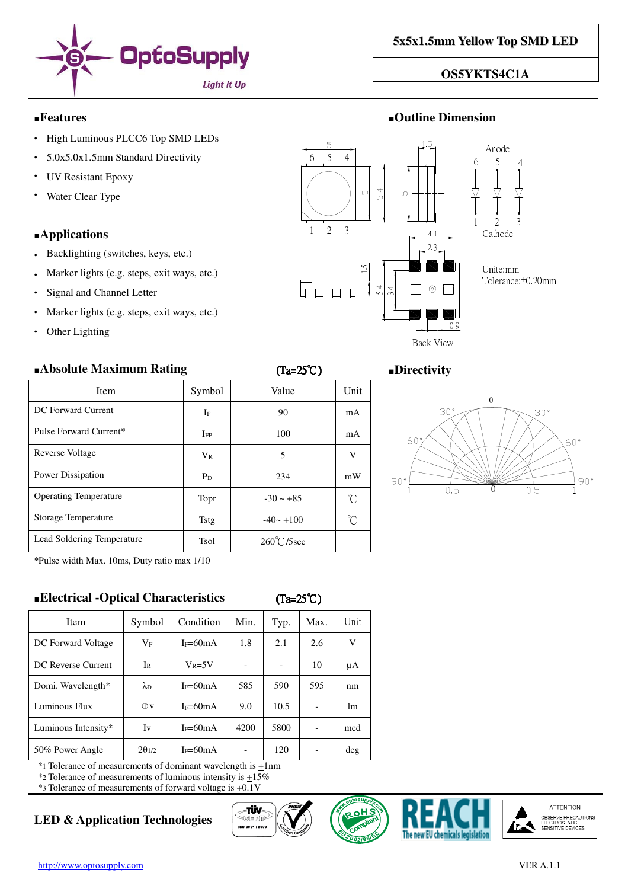

## **OS5YKTS4C1A**

### ■**Features** ■**Outline Dimension**

- High Luminous PLCC6 Top SMD LEDs
- 5.0x5.0x1.5mm Standard Directivity
- **UV Resistant Epoxy**
- Water Clear Type

## ■**Applications**

- Backlighting (switches, keys, etc.)
- Marker lights (e.g. steps, exit ways, etc.)
- Signal and Channel Letter
- Marker lights (e.g. steps, exit ways, etc.)
- Other Lighting

## ■**Absolute Maximum Rating** (Ta=25℃) ■**Directivity**

| <b>Item</b>                  | Symbol   | Value        | Unit         |
|------------------------------|----------|--------------|--------------|
| DC Forward Current           | IF       | 90           | mA           |
| Pulse Forward Current*       | $I_{FP}$ | 100          | mA           |
| Reverse Voltage              | $V_{R}$  | 5            | V            |
| Power Dissipation            | $P_D$    | 234          | mW           |
| <b>Operating Temperature</b> | Topr     | $-30 - +85$  | $\mathrm{C}$ |
| <b>Storage Temperature</b>   | Tstg     | $-40 - +100$ | n°           |
| Lead Soldering Temperature   | Tsol     | 260°C/5sec   |              |

\*Pulse width Max. 10ms, Duty ratio max 1/10

## ■**Electrical -Optical Characteristics** (Ta=25℃)

| L   | 25 |
|-----|----|
| ia≔ | ۱. |

| Item                | Symbol            | Condition    | Min. | Typ. | Max. | Unit |
|---------------------|-------------------|--------------|------|------|------|------|
| DC Forward Voltage  | $\rm V_F$         | $I_F=60mA$   | 1.8  | 2.1  | 2.6  | V    |
| DC Reverse Current  | Ir                | $V_R = 5V$   |      |      | 10   | μA   |
| Domi. Wavelength*   | $\lambda_{\rm D}$ | $I_F = 60mA$ | 585  | 590  | 595  | nm   |
| Luminous Flux       | Φv                | $I_F=60mA$   | 9.0  | 10.5 |      | lm   |
| Luminous Intensity* | Iv                | $I_F=60mA$   | 4200 | 5800 |      | mcd  |
| 50% Power Angle     | $2\theta_{1/2}$   | $I_F=60mA$   |      | 120  |      | deg  |
|                     |                   |              |      |      |      |      |

 $*$ 1 Tolerance of measurements of dominant wavelength is  $\pm 1$ nm

\*2 Tolerance of measurements of luminous intensity is  $\pm 15\%$ 

\*3 Tolerance of measurements of forward voltage is +0.1V

# **LED & Application Technologies**











Back View